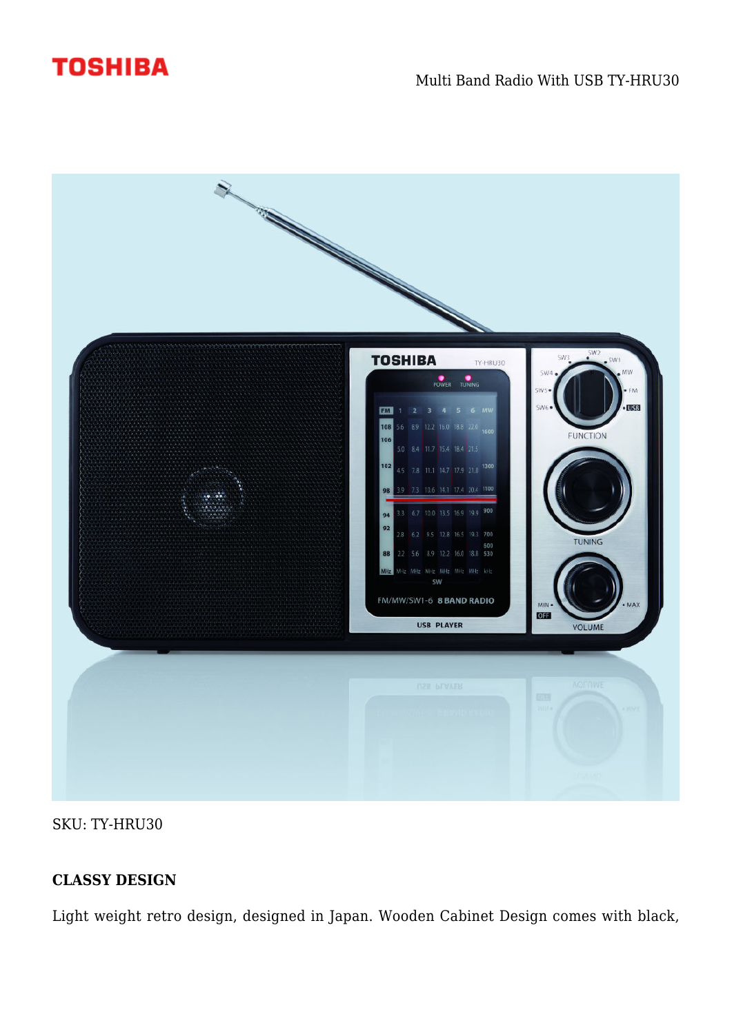



SKU: TY-HRU30

# **CLASSY DESIGN**

Light weight retro design, designed in Japan. Wooden Cabinet Design comes with black,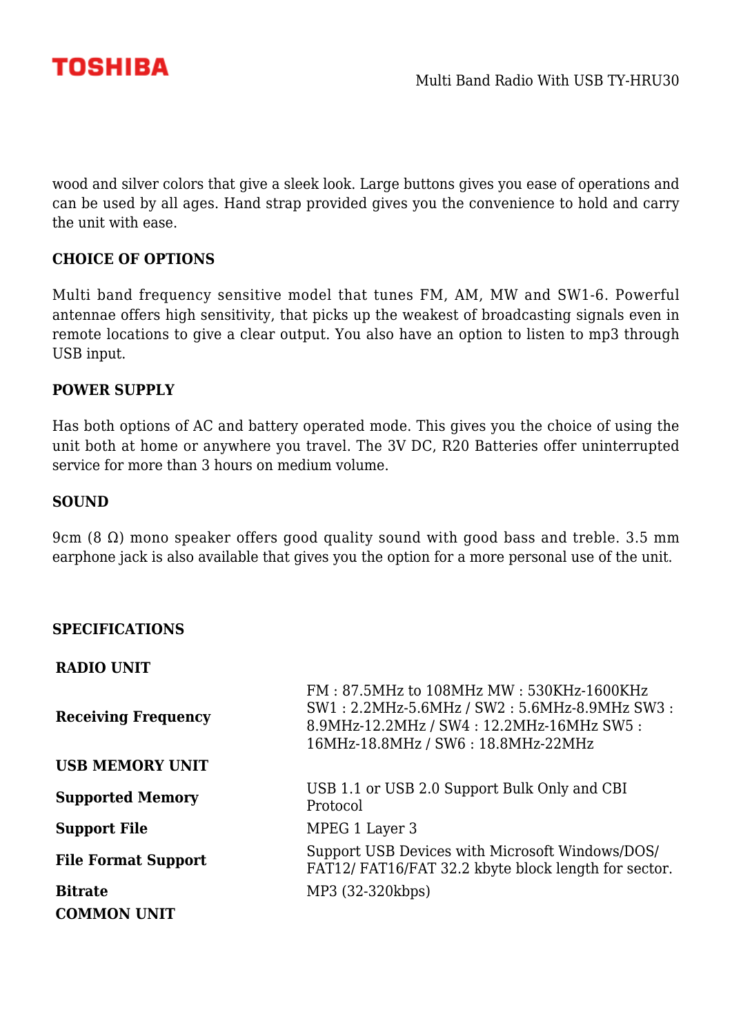

wood and silver colors that give a sleek look. Large buttons gives you ease of operations and can be used by all ages. Hand strap provided gives you the convenience to hold and carry the unit with ease.

## **CHOICE OF OPTIONS**

Multi band frequency sensitive model that tunes FM, AM, MW and SW1-6. Powerful antennae offers high sensitivity, that picks up the weakest of broadcasting signals even in remote locations to give a clear output. You also have an option to listen to mp3 through USB input.

## **POWER SUPPLY**

Has both options of AC and battery operated mode. This gives you the choice of using the unit both at home or anywhere you travel. The 3V DC, R20 Batteries offer uninterrupted service for more than 3 hours on medium volume.

#### **SOUND**

9cm (8 Ω) mono speaker offers good quality sound with good bass and treble. 3.5 mm earphone jack is also available that gives you the option for a more personal use of the unit.

### **SPECIFICATIONS**

**RADIO UNIT**

| <b>Receiving Frequency</b> | FM: 87.5MHz to 108MHz MW: 530KHz-1600KHz<br>SW1: 2.2MHz-5.6MHz / SW2: 5.6MHz-8.9MHz SW3:<br>8.9MHz-12.2MHz / SW4: 12.2MHz-16MHz SW5:<br>16MHz-18.8MHz / SW6: 18.8MHz-22MHz |
|----------------------------|----------------------------------------------------------------------------------------------------------------------------------------------------------------------------|
| <b>USB MEMORY UNIT</b>     |                                                                                                                                                                            |
| <b>Supported Memory</b>    | USB 1.1 or USB 2.0 Support Bulk Only and CBI<br>Protocol                                                                                                                   |
| <b>Support File</b>        | MPEG 1 Layer 3                                                                                                                                                             |
| <b>File Format Support</b> | Support USB Devices with Microsoft Windows/DOS/<br>FAT12/ FAT16/FAT 32.2 kbyte block length for sector.                                                                    |
| <b>Bitrate</b>             | MP3 (32-320kbps)                                                                                                                                                           |
| <b>COMMON UNIT</b>         |                                                                                                                                                                            |